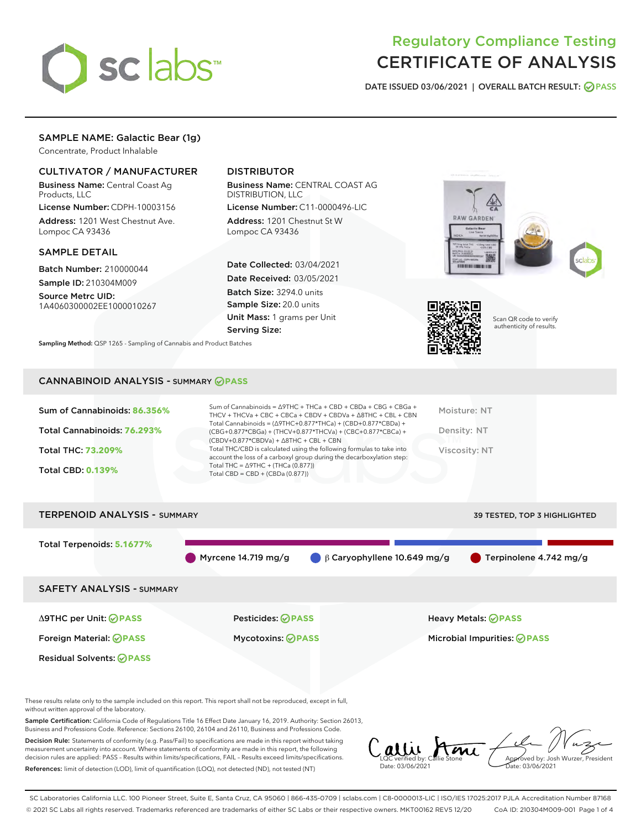

## Regulatory Compliance Testing CERTIFICATE OF ANALYSIS

DATE ISSUED 03/06/2021 | OVERALL BATCH RESULT: @ PASS

## SAMPLE NAME: Galactic Bear (1g)

Concentrate, Product Inhalable

## CULTIVATOR / MANUFACTURER

Business Name: Central Coast Ag Products, LLC

License Number: CDPH-10003156 Address: 1201 West Chestnut Ave. Lompoc CA 93436

## SAMPLE DETAIL

Batch Number: 210000044 Sample ID: 210304M009

Source Metrc UID: 1A4060300002EE1000010267

## DISTRIBUTOR

Business Name: CENTRAL COAST AG DISTRIBUTION, LLC

License Number: C11-0000496-LIC Address: 1201 Chestnut St W Lompoc CA 93436

Date Collected: 03/04/2021 Date Received: 03/05/2021 Batch Size: 3294.0 units Sample Size: 20.0 units Unit Mass: 1 grams per Unit Serving Size:





Scan QR code to verify authenticity of results.

CANNABINOID ANALYSIS - SUMMARY **PASS**

Sampling Method: QSP 1265 - Sampling of Cannabis and Product Batches

| Total Cannabinoids = $(\Delta$ 9THC+0.877*THCa) + (CBD+0.877*CBDa) +<br>Total Cannabinoids: 76.293%<br>Density: NT<br>(CBG+0.877*CBGa) + (THCV+0.877*THCVa) + (CBC+0.877*CBCa) +<br>$(CBDV+0.877*CBDVa) + \Delta 8THC + CBL + CBN$<br>Total THC/CBD is calculated using the following formulas to take into<br><b>Total THC: 73.209%</b><br>Viscosity: NT<br>account the loss of a carboxyl group during the decarboxylation step:<br>Total THC = $\triangle$ 9THC + (THCa (0.877))<br><b>Total CBD: 0.139%</b><br>Total CBD = $CBD + (CBDa (0.877))$ | Sum of Cannabinoids: 86.356% | Sum of Cannabinoids = $\triangle$ 9THC + THCa + CBD + CBDa + CBG + CBGa +<br>THCV + THCVa + CBC + CBCa + CBDV + CBDVa + $\Delta$ 8THC + CBL + CBN | Moisture: NT |
|-------------------------------------------------------------------------------------------------------------------------------------------------------------------------------------------------------------------------------------------------------------------------------------------------------------------------------------------------------------------------------------------------------------------------------------------------------------------------------------------------------------------------------------------------------|------------------------------|---------------------------------------------------------------------------------------------------------------------------------------------------|--------------|
|                                                                                                                                                                                                                                                                                                                                                                                                                                                                                                                                                       |                              |                                                                                                                                                   |              |
|                                                                                                                                                                                                                                                                                                                                                                                                                                                                                                                                                       |                              |                                                                                                                                                   |              |
|                                                                                                                                                                                                                                                                                                                                                                                                                                                                                                                                                       |                              |                                                                                                                                                   |              |

# TERPENOID ANALYSIS - SUMMARY 39 TESTED, TOP 3 HIGHLIGHTED Total Terpenoids: **5.1677%** Myrcene 14.719 mg/g  $\qquad \qquad \beta$  Caryophyllene 10.649 mg/g  $\qquad \qquad$  Terpinolene 4.742 mg/g SAFETY ANALYSIS - SUMMARY Δ9THC per Unit: **PASS** Pesticides: **PASS** Heavy Metals: **PASS** Foreign Material: **PASS** Mycotoxins: **PASS** Microbial Impurities: **PASS** Residual Solvents: **PASS**

These results relate only to the sample included on this report. This report shall not be reproduced, except in full, without written approval of the laboratory.

Sample Certification: California Code of Regulations Title 16 Effect Date January 16, 2019. Authority: Section 26013, Business and Professions Code. Reference: Sections 26100, 26104 and 26110, Business and Professions Code.

Decision Rule: Statements of conformity (e.g. Pass/Fail) to specifications are made in this report without taking measurement uncertainty into account. Where statements of conformity are made in this report, the following decision rules are applied: PASS – Results within limits/specifications, FAIL – Results exceed limits/specifications. References: limit of detection (LOD), limit of quantification (LOQ), not detected (ND), not tested (NT)

LQC verified by: Callie Stone Date: 03/06/2021 Aved by: Josh Wurzer, President te: 03/06/2021

SC Laboratories California LLC. 100 Pioneer Street, Suite E, Santa Cruz, CA 95060 | 866-435-0709 | sclabs.com | C8-0000013-LIC | ISO/IES 17025:2017 PJLA Accreditation Number 87168 © 2021 SC Labs all rights reserved. Trademarks referenced are trademarks of either SC Labs or their respective owners. MKT00162 REV5 12/20 CoA ID: 210304M009-001 Page 1 of 4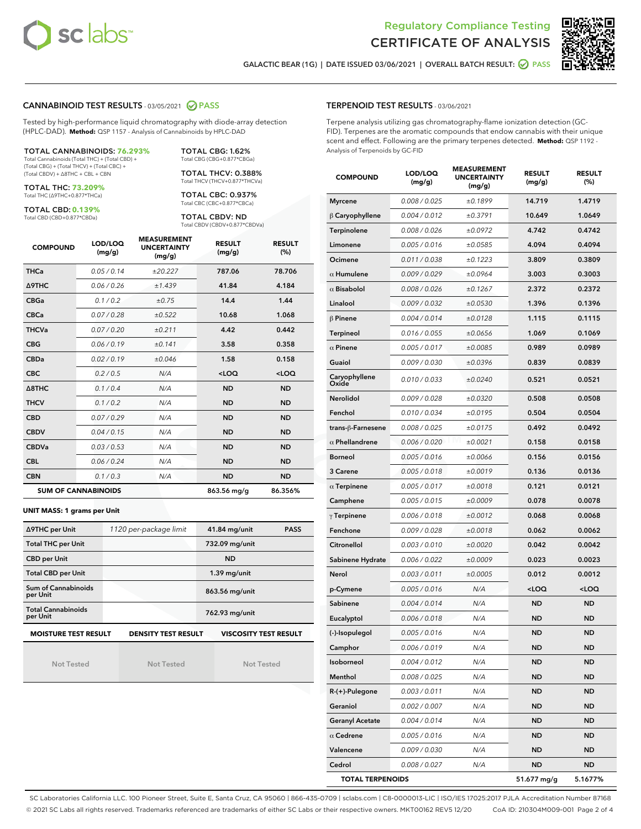



GALACTIC BEAR (1G) | DATE ISSUED 03/06/2021 | OVERALL BATCH RESULT: @ PASS

## CANNABINOID TEST RESULTS - 03/05/2021 2 PASS

Tested by high-performance liquid chromatography with diode-array detection (HPLC-DAD). **Method:** QSP 1157 - Analysis of Cannabinoids by HPLC-DAD

TOTAL CANNABINOIDS: **76.293%** Total Cannabinoids (Total THC) + (Total CBD) + (Total CBG) + (Total THCV) + (Total CBC) +

(Total CBDV) + ∆8THC + CBL + CBN TOTAL THC: **73.209%**

Total THC (∆9THC+0.877\*THCa)

TOTAL CBD: **0.139%**

Total CBD (CBD+0.877\*CBDa)

TOTAL CBG: 1.62% Total CBG (CBG+0.877\*CBGa) TOTAL THCV: 0.388%

Total THCV (THCV+0.877\*THCVa) TOTAL CBC: 0.937% Total CBC (CBC+0.877\*CBCa)

TOTAL CBDV: ND Total CBDV (CBDV+0.877\*CBDVa)

| <b>COMPOUND</b>  | LOD/LOQ<br>(mg/g)          | <b>MEASUREMENT</b><br><b>UNCERTAINTY</b><br>(mg/g) | <b>RESULT</b><br>(mg/g) | <b>RESULT</b><br>(%) |
|------------------|----------------------------|----------------------------------------------------|-------------------------|----------------------|
| <b>THCa</b>      | 0.05 / 0.14                | ±20.227                                            | 787.06                  | 78.706               |
| <b>A9THC</b>     | 0.06/0.26                  | ±1.439                                             | 41.84                   | 4.184                |
| <b>CBGa</b>      | 0.1/0.2                    | ±0.75                                              | 14.4                    | 1.44                 |
| <b>CBCa</b>      | 0.07/0.28                  | ±0.522                                             | 10.68                   | 1.068                |
| <b>THCVa</b>     | 0.07 / 0.20                | ±0.211                                             | 4.42                    | 0.442                |
| <b>CBG</b>       | 0.06/0.19                  | ±0.141                                             | 3.58                    | 0.358                |
| <b>CBDa</b>      | 0.02/0.19                  | ±0.046                                             | 1.58                    | 0.158                |
| <b>CBC</b>       | 0.2/0.5                    | N/A                                                | $<$ LOQ                 | $<$ LOQ              |
| $\triangle$ 8THC | 0.1/0.4                    | N/A                                                | <b>ND</b>               | <b>ND</b>            |
| <b>THCV</b>      | 0.1/0.2                    | N/A                                                | <b>ND</b>               | <b>ND</b>            |
| <b>CBD</b>       | 0.07/0.29                  | N/A                                                | <b>ND</b>               | <b>ND</b>            |
| <b>CBDV</b>      | 0.04/0.15                  | N/A                                                | <b>ND</b>               | <b>ND</b>            |
| <b>CBDVa</b>     | 0.03/0.53                  | N/A                                                | <b>ND</b>               | <b>ND</b>            |
| <b>CBL</b>       | 0.06 / 0.24                | N/A                                                | <b>ND</b>               | <b>ND</b>            |
| <b>CBN</b>       | 0.1/0.3                    | N/A                                                | <b>ND</b>               | <b>ND</b>            |
|                  | <b>SUM OF CANNABINOIDS</b> |                                                    | 863.56 mg/g             | 86.356%              |

#### **UNIT MASS: 1 grams per Unit**

| ∆9THC per Unit                                                                            | 1120 per-package limit | 41.84 mg/unit  | <b>PASS</b> |  |
|-------------------------------------------------------------------------------------------|------------------------|----------------|-------------|--|
| <b>Total THC per Unit</b>                                                                 |                        | 732.09 mg/unit |             |  |
| <b>CBD per Unit</b>                                                                       |                        | <b>ND</b>      |             |  |
| <b>Total CBD per Unit</b>                                                                 |                        | $1.39$ mg/unit |             |  |
| Sum of Cannabinoids<br>per Unit                                                           |                        | 863.56 mg/unit |             |  |
| <b>Total Cannabinoids</b><br>per Unit                                                     |                        | 762.93 mg/unit |             |  |
| <b>MOISTURE TEST RESULT</b><br><b>VISCOSITY TEST RESULT</b><br><b>DENSITY TEST RESULT</b> |                        |                |             |  |

Not Tested

Not Tested

Not Tested

#### TERPENOID TEST RESULTS - 03/06/2021

Terpene analysis utilizing gas chromatography-flame ionization detection (GC-FID). Terpenes are the aromatic compounds that endow cannabis with their unique scent and effect. Following are the primary terpenes detected. **Method:** QSP 1192 - Analysis of Terpenoids by GC-FID

| <b>COMPOUND</b>         | LOD/LOQ<br>(mg/g) | <b>MEASUREMENT</b><br><b>UNCERTAINTY</b><br>(mg/g) | <b>RESULT</b><br>(mg/g)                         | <b>RESULT</b><br>$(\%)$ |
|-------------------------|-------------------|----------------------------------------------------|-------------------------------------------------|-------------------------|
| <b>Myrcene</b>          | 0.008 / 0.025     | ±0.1899                                            | 14.719                                          | 1.4719                  |
| $\upbeta$ Caryophyllene | 0.004 / 0.012     | ±0.3791                                            | 10.649                                          | 1.0649                  |
| Terpinolene             | 0.008 / 0.026     | ±0.0972                                            | 4.742                                           | 0.4742                  |
| Limonene                | 0.005 / 0.016     | ±0.0585                                            | 4.094                                           | 0.4094                  |
| Ocimene                 | 0.011 / 0.038     | ±0.1223                                            | 3.809                                           | 0.3809                  |
| $\alpha$ Humulene       | 0.009/0.029       | ±0.0964                                            | 3.003                                           | 0.3003                  |
| $\alpha$ Bisabolol      | 0.008 / 0.026     | ±0.1267                                            | 2.372                                           | 0.2372                  |
| Linalool                | 0.009 / 0.032     | ±0.0530                                            | 1.396                                           | 0.1396                  |
| β Pinene                | 0.004 / 0.014     | ±0.0128                                            | 1.115                                           | 0.1115                  |
| Terpineol               | 0.016 / 0.055     | ±0.0656                                            | 1.069                                           | 0.1069                  |
| $\alpha$ Pinene         | 0.005 / 0.017     | ±0.0085                                            | 0.989                                           | 0.0989                  |
| Guaiol                  | 0.009 / 0.030     | ±0.0396                                            | 0.839                                           | 0.0839                  |
| Caryophyllene<br>Oxide  | 0.010 / 0.033     | ±0.0240                                            | 0.521                                           | 0.0521                  |
| <b>Nerolidol</b>        | 0.009 / 0.028     | ±0.0320                                            | 0.508                                           | 0.0508                  |
| Fenchol                 | 0.010 / 0.034     | ±0.0195                                            | 0.504                                           | 0.0504                  |
| trans-ß-Farnesene       | 0.008 / 0.025     | ±0.0175                                            | 0.492                                           | 0.0492                  |
| $\alpha$ Phellandrene   | 0.006 / 0.020     | ±0.0021                                            | 0.158                                           | 0.0158                  |
| <b>Borneol</b>          | 0.005 / 0.016     | ±0.0066                                            | 0.156                                           | 0.0156                  |
| 3 Carene                | 0.005 / 0.018     | ±0.0019                                            | 0.136                                           | 0.0136                  |
| $\alpha$ Terpinene      | 0.005 / 0.017     | ±0.0018                                            | 0.121                                           | 0.0121                  |
| Camphene                | 0.005 / 0.015     | ±0.0009                                            | 0.078                                           | 0.0078                  |
| $\gamma$ Terpinene      | 0.006 / 0.018     | ±0.0012                                            | 0.068                                           | 0.0068                  |
| Fenchone                | 0.009 / 0.028     | ±0.0018                                            | 0.062                                           | 0.0062                  |
| Citronellol             | 0.003 / 0.010     | ±0.0020                                            | 0.042                                           | 0.0042                  |
| Sabinene Hydrate        | 0.006 / 0.022     | ±0.0009                                            | 0.023                                           | 0.0023                  |
| Nerol                   | 0.003 / 0.011     | ±0.0005                                            | 0.012                                           | 0.0012                  |
| p-Cymene                | 0.005 / 0.016     | N/A                                                | <loq< th=""><th><loq< th=""></loq<></th></loq<> | <loq< th=""></loq<>     |
| Sabinene                | 0.004 / 0.014     | N/A                                                | ND                                              | <b>ND</b>               |
| Eucalyptol              | 0.006 / 0.018     | N/A                                                | <b>ND</b>                                       | <b>ND</b>               |
| (-)-Isopulegol          | 0.005 / 0.016     | N/A                                                | <b>ND</b>                                       | <b>ND</b>               |
| Camphor                 | 0.006 / 0.019     | N/A                                                | ND                                              | ND                      |
| Isoborneol              | 0.004 / 0.012     | N/A                                                | ND                                              | ND                      |
| Menthol                 | 0.008 / 0.025     | N/A                                                | ND                                              | ND                      |
| R-(+)-Pulegone          | 0.003 / 0.011     | N/A                                                | <b>ND</b>                                       | ND                      |
| Geraniol                | 0.002 / 0.007     | N/A                                                | ND                                              | <b>ND</b>               |
| <b>Geranyl Acetate</b>  | 0.004 / 0.014     | N/A                                                | <b>ND</b>                                       | ND                      |
| $\alpha$ Cedrene        | 0.005 / 0.016     | N/A                                                | <b>ND</b>                                       | ND                      |
| Valencene               | 0.009 / 0.030     | N/A                                                | ND                                              | ND                      |
| Cedrol                  | 0.008 / 0.027     | N/A                                                | ND                                              | ND                      |
| <b>TOTAL TERPENOIDS</b> |                   |                                                    | 51.677 mg/g                                     | 5.1677%                 |

SC Laboratories California LLC. 100 Pioneer Street, Suite E, Santa Cruz, CA 95060 | 866-435-0709 | sclabs.com | C8-0000013-LIC | ISO/IES 17025:2017 PJLA Accreditation Number 87168 © 2021 SC Labs all rights reserved. Trademarks referenced are trademarks of either SC Labs or their respective owners. MKT00162 REV5 12/20 CoA ID: 210304M009-001 Page 2 of 4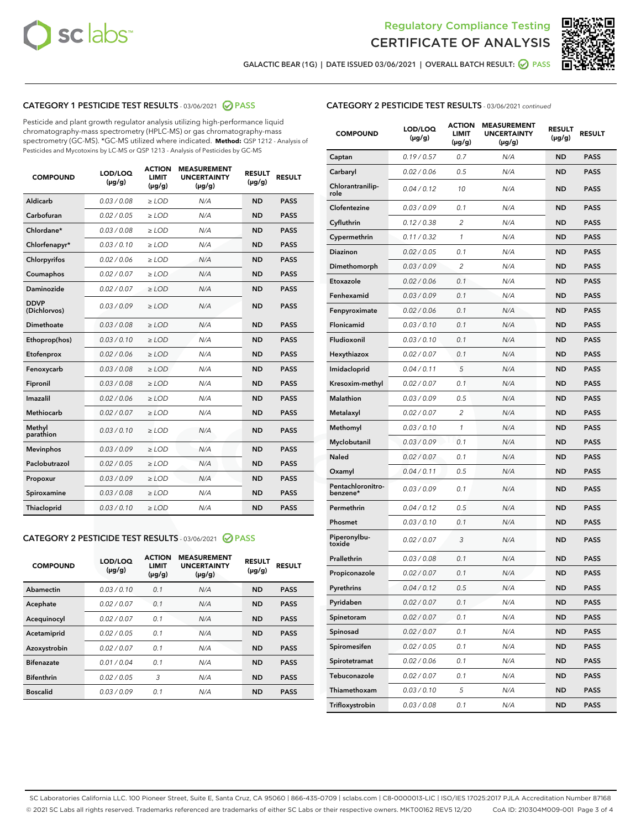



GALACTIC BEAR (1G) | DATE ISSUED 03/06/2021 | OVERALL BATCH RESULT: @ PASS

## CATEGORY 1 PESTICIDE TEST RESULTS - 03/06/2021 2 PASS

Pesticide and plant growth regulator analysis utilizing high-performance liquid chromatography-mass spectrometry (HPLC-MS) or gas chromatography-mass spectrometry (GC-MS). \*GC-MS utilized where indicated. **Method:** QSP 1212 - Analysis of Pesticides and Mycotoxins by LC-MS or QSP 1213 - Analysis of Pesticides by GC-MS

| <b>COMPOUND</b>             | LOD/LOQ<br>$(\mu g/g)$ | <b>ACTION</b><br>LIMIT<br>$(\mu g/g)$ | <b>MEASUREMENT</b><br><b>UNCERTAINTY</b><br>$(\mu g/g)$ | <b>RESULT</b><br>$(\mu g/g)$ | <b>RESULT</b> |
|-----------------------------|------------------------|---------------------------------------|---------------------------------------------------------|------------------------------|---------------|
| Aldicarb                    | 0.03 / 0.08            | $\ge$ LOD                             | N/A                                                     | <b>ND</b>                    | <b>PASS</b>   |
| Carbofuran                  | 0.02 / 0.05            | $\ge$ LOD                             | N/A                                                     | <b>ND</b>                    | <b>PASS</b>   |
| Chlordane*                  | 0.03 / 0.08            | $\geq$ LOD                            | N/A                                                     | <b>ND</b>                    | <b>PASS</b>   |
| Chlorfenapyr*               | 0.03/0.10              | $\ge$ LOD                             | N/A                                                     | <b>ND</b>                    | <b>PASS</b>   |
| Chlorpyrifos                | 0.02 / 0.06            | $\geq$ LOD                            | N/A                                                     | <b>ND</b>                    | <b>PASS</b>   |
| Coumaphos                   | 0.02 / 0.07            | $\ge$ LOD                             | N/A                                                     | <b>ND</b>                    | <b>PASS</b>   |
| Daminozide                  | 0.02/0.07              | $\ge$ LOD                             | N/A                                                     | <b>ND</b>                    | <b>PASS</b>   |
| <b>DDVP</b><br>(Dichlorvos) | 0.03/0.09              | $\ge$ LOD                             | N/A                                                     | <b>ND</b>                    | <b>PASS</b>   |
| Dimethoate                  | 0.03 / 0.08            | $>$ LOD                               | N/A                                                     | <b>ND</b>                    | <b>PASS</b>   |
| Ethoprop(hos)               | 0.03/0.10              | $\ge$ LOD                             | N/A                                                     | <b>ND</b>                    | <b>PASS</b>   |
| Etofenprox                  | 0.02/0.06              | $>$ LOD                               | N/A                                                     | <b>ND</b>                    | <b>PASS</b>   |
| Fenoxycarb                  | 0.03/0.08              | $>$ LOD                               | N/A                                                     | <b>ND</b>                    | <b>PASS</b>   |
| Fipronil                    | 0.03 / 0.08            | $>$ LOD                               | N/A                                                     | <b>ND</b>                    | <b>PASS</b>   |
| Imazalil                    | 0.02/0.06              | $>$ LOD                               | N/A                                                     | <b>ND</b>                    | <b>PASS</b>   |
| <b>Methiocarb</b>           | 0.02 / 0.07            | $\ge$ LOD                             | N/A                                                     | <b>ND</b>                    | <b>PASS</b>   |
| Methyl<br>parathion         | 0.03/0.10              | $\ge$ LOD                             | N/A                                                     | <b>ND</b>                    | <b>PASS</b>   |
| <b>Mevinphos</b>            | 0.03/0.09              | $\ge$ LOD                             | N/A                                                     | <b>ND</b>                    | <b>PASS</b>   |
| Paclobutrazol               | 0.02 / 0.05            | $\ge$ LOD                             | N/A                                                     | <b>ND</b>                    | <b>PASS</b>   |
| Propoxur                    | 0.03 / 0.09            | $\ge$ LOD                             | N/A                                                     | <b>ND</b>                    | <b>PASS</b>   |
| Spiroxamine                 | 0.03 / 0.08            | $\ge$ LOD                             | N/A                                                     | <b>ND</b>                    | <b>PASS</b>   |
| Thiacloprid                 | 0.03/0.10              | $\ge$ LOD                             | N/A                                                     | <b>ND</b>                    | <b>PASS</b>   |

### CATEGORY 2 PESTICIDE TEST RESULTS - 03/06/2021 @ PASS

| <b>COMPOUND</b>   | LOD/LOQ<br>$(\mu g/g)$ | <b>ACTION</b><br><b>LIMIT</b><br>$(\mu g/g)$ | <b>MEASUREMENT</b><br><b>UNCERTAINTY</b><br>$(\mu g/g)$ | <b>RESULT</b><br>$(\mu g/g)$ | <b>RESULT</b> |
|-------------------|------------------------|----------------------------------------------|---------------------------------------------------------|------------------------------|---------------|
| Abamectin         | 0.03/0.10              | 0.1                                          | N/A                                                     | <b>ND</b>                    | <b>PASS</b>   |
| Acephate          | 0.02/0.07              | 0.1                                          | N/A                                                     | <b>ND</b>                    | <b>PASS</b>   |
| Acequinocyl       | 0.02/0.07              | 0.1                                          | N/A                                                     | <b>ND</b>                    | <b>PASS</b>   |
| Acetamiprid       | 0.02/0.05              | 0.1                                          | N/A                                                     | <b>ND</b>                    | <b>PASS</b>   |
| Azoxystrobin      | 0.02/0.07              | 0.1                                          | N/A                                                     | <b>ND</b>                    | <b>PASS</b>   |
| <b>Bifenazate</b> | 0.01/0.04              | 0.1                                          | N/A                                                     | <b>ND</b>                    | <b>PASS</b>   |
| <b>Bifenthrin</b> | 0.02/0.05              | 3                                            | N/A                                                     | <b>ND</b>                    | <b>PASS</b>   |
| <b>Boscalid</b>   | 0.03/0.09              | 0.1                                          | N/A                                                     | <b>ND</b>                    | <b>PASS</b>   |

## CATEGORY 2 PESTICIDE TEST RESULTS - 03/06/2021 continued

| <b>COMPOUND</b>               | LOD/LOQ<br>(µg/g) | <b>ACTION</b><br>LIMIT<br>$(\mu g/g)$ | <b>MEASUREMENT</b><br><b>UNCERTAINTY</b><br>$(\mu g/g)$ | <b>RESULT</b><br>(µg/g) | <b>RESULT</b> |
|-------------------------------|-------------------|---------------------------------------|---------------------------------------------------------|-------------------------|---------------|
| Captan                        | 0.19/0.57         | 0.7                                   | N/A                                                     | <b>ND</b>               | <b>PASS</b>   |
| Carbaryl                      | 0.02 / 0.06       | 0.5                                   | N/A                                                     | <b>ND</b>               | <b>PASS</b>   |
| Chlorantranilip-<br>role      | 0.04 / 0.12       | 10                                    | N/A                                                     | <b>ND</b>               | <b>PASS</b>   |
| Clofentezine                  | 0.03 / 0.09       | 0.1                                   | N/A                                                     | <b>ND</b>               | <b>PASS</b>   |
| Cyfluthrin                    | 0.12 / 0.38       | 2                                     | N/A                                                     | <b>ND</b>               | <b>PASS</b>   |
| Cypermethrin                  | 0.11 / 0.32       | 1                                     | N/A                                                     | <b>ND</b>               | <b>PASS</b>   |
| <b>Diazinon</b>               | 0.02 / 0.05       | 0.1                                   | N/A                                                     | <b>ND</b>               | <b>PASS</b>   |
| Dimethomorph                  | 0.03 / 0.09       | 2                                     | N/A                                                     | ND                      | <b>PASS</b>   |
| Etoxazole                     | 0.02 / 0.06       | 0.1                                   | N/A                                                     | <b>ND</b>               | <b>PASS</b>   |
| Fenhexamid                    | 0.03 / 0.09       | 0.1                                   | N/A                                                     | <b>ND</b>               | <b>PASS</b>   |
| Fenpyroximate                 | 0.02 / 0.06       | 0.1                                   | N/A                                                     | <b>ND</b>               | <b>PASS</b>   |
| Flonicamid                    | 0.03/0.10         | 0.1                                   | N/A                                                     | <b>ND</b>               | <b>PASS</b>   |
| Fludioxonil                   | 0.03 / 0.10       | 0.1                                   | N/A                                                     | <b>ND</b>               | <b>PASS</b>   |
| Hexythiazox                   | 0.02 / 0.07       | 0.1                                   | N/A                                                     | ND                      | <b>PASS</b>   |
| Imidacloprid                  | 0.04 / 0.11       | 5                                     | N/A                                                     | <b>ND</b>               | <b>PASS</b>   |
| Kresoxim-methyl               | 0.02 / 0.07       | 0.1                                   | N/A                                                     | <b>ND</b>               | <b>PASS</b>   |
| Malathion                     | 0.03 / 0.09       | 0.5                                   | N/A                                                     | <b>ND</b>               | <b>PASS</b>   |
| Metalaxyl                     | 0.02 / 0.07       | 2                                     | N/A                                                     | <b>ND</b>               | <b>PASS</b>   |
| Methomyl                      | 0.03 / 0.10       | $\mathbf{1}$                          | N/A                                                     | <b>ND</b>               | <b>PASS</b>   |
| Myclobutanil                  | 0.03 / 0.09       | 0.1                                   | N/A                                                     | ND                      | <b>PASS</b>   |
| Naled                         | 0.02 / 0.07       | 0.1                                   | N/A                                                     | <b>ND</b>               | <b>PASS</b>   |
| Oxamyl                        | 0.04 / 0.11       | 0.5                                   | N/A                                                     | <b>ND</b>               | <b>PASS</b>   |
| Pentachloronitro-<br>benzene* | 0.03 / 0.09       | 0.1                                   | N/A                                                     | <b>ND</b>               | <b>PASS</b>   |
| Permethrin                    | 0.04 / 0.12       | 0.5                                   | N/A                                                     | <b>ND</b>               | <b>PASS</b>   |
| Phosmet                       | 0.03 / 0.10       | 0.1                                   | N/A                                                     | <b>ND</b>               | <b>PASS</b>   |
| Piperonylbu-<br>toxide        | 0.02 / 0.07       | 3                                     | N/A                                                     | <b>ND</b>               | <b>PASS</b>   |
| Prallethrin                   | 0.03 / 0.08       | 0.1                                   | N/A                                                     | <b>ND</b>               | <b>PASS</b>   |
| Propiconazole                 | 0.02 / 0.07       | 0.1                                   | N/A                                                     | <b>ND</b>               | <b>PASS</b>   |
| Pyrethrins                    | 0.04 / 0.12       | 0.5                                   | N/A                                                     | ND                      | PASS          |
| Pyridaben                     | 0.02 / 0.07       | 0.1                                   | N/A                                                     | <b>ND</b>               | <b>PASS</b>   |
| Spinetoram                    | 0.02 / 0.07       | 0.1                                   | N/A                                                     | <b>ND</b>               | <b>PASS</b>   |
| Spinosad                      | 0.02 / 0.07       | 0.1                                   | N/A                                                     | <b>ND</b>               | <b>PASS</b>   |
| Spiromesifen                  | 0.02 / 0.05       | 0.1                                   | N/A                                                     | <b>ND</b>               | <b>PASS</b>   |
| Spirotetramat                 | 0.02 / 0.06       | 0.1                                   | N/A                                                     | <b>ND</b>               | <b>PASS</b>   |
| Tebuconazole                  | 0.02 / 0.07       | 0.1                                   | N/A                                                     | <b>ND</b>               | <b>PASS</b>   |
| Thiamethoxam                  | 0.03 / 0.10       | 5                                     | N/A                                                     | <b>ND</b>               | <b>PASS</b>   |
| Trifloxystrobin               | 0.03 / 0.08       | 0.1                                   | N/A                                                     | <b>ND</b>               | <b>PASS</b>   |